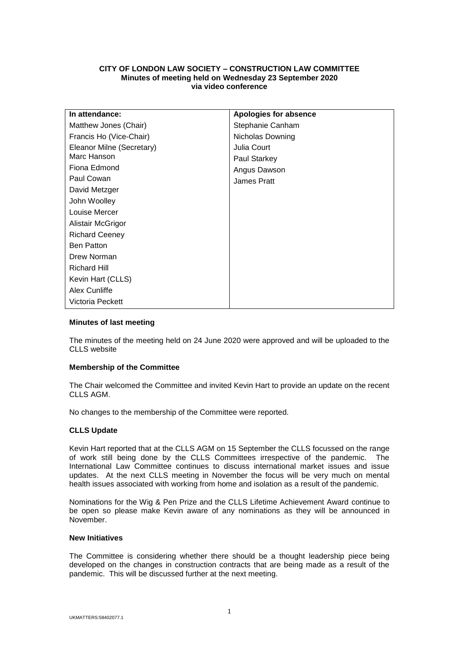# **CITY OF LONDON LAW SOCIETY – CONSTRUCTION LAW COMMITTEE Minutes of meeting held on Wednesday 23 September 2020 via video conference**

| In attendance:            | Apologies for absence |
|---------------------------|-----------------------|
| Matthew Jones (Chair)     | Stephanie Canham      |
| Francis Ho (Vice-Chair)   | Nicholas Downing      |
| Eleanor Milne (Secretary) | Julia Court           |
| Marc Hanson               | Paul Starkey          |
| Fiona Edmond              | Angus Dawson          |
| Paul Cowan                | James Pratt           |
| David Metzger             |                       |
| John Woolley              |                       |
| Louise Mercer             |                       |
| Alistair McGrigor         |                       |
| <b>Richard Ceeney</b>     |                       |
| <b>Ben Patton</b>         |                       |
| Drew Norman               |                       |
| <b>Richard Hill</b>       |                       |
| Kevin Hart (CLLS)         |                       |
| Alex Cunliffe             |                       |
| Victoria Peckett          |                       |

# **Minutes of last meeting**

The minutes of the meeting held on 24 June 2020 were approved and will be uploaded to the CLLS website

## **Membership of the Committee**

The Chair welcomed the Committee and invited Kevin Hart to provide an update on the recent CLLS AGM.

No changes to the membership of the Committee were reported.

## **CLLS Update**

Kevin Hart reported that at the CLLS AGM on 15 September the CLLS focussed on the range of work still being done by the CLLS Committees irrespective of the pandemic. The International Law Committee continues to discuss international market issues and issue updates. At the next CLLS meeting in November the focus will be very much on mental health issues associated with working from home and isolation as a result of the pandemic.

Nominations for the Wig & Pen Prize and the CLLS Lifetime Achievement Award continue to be open so please make Kevin aware of any nominations as they will be announced in November.

#### **New Initiatives**

The Committee is considering whether there should be a thought leadership piece being developed on the changes in construction contracts that are being made as a result of the pandemic. This will be discussed further at the next meeting.